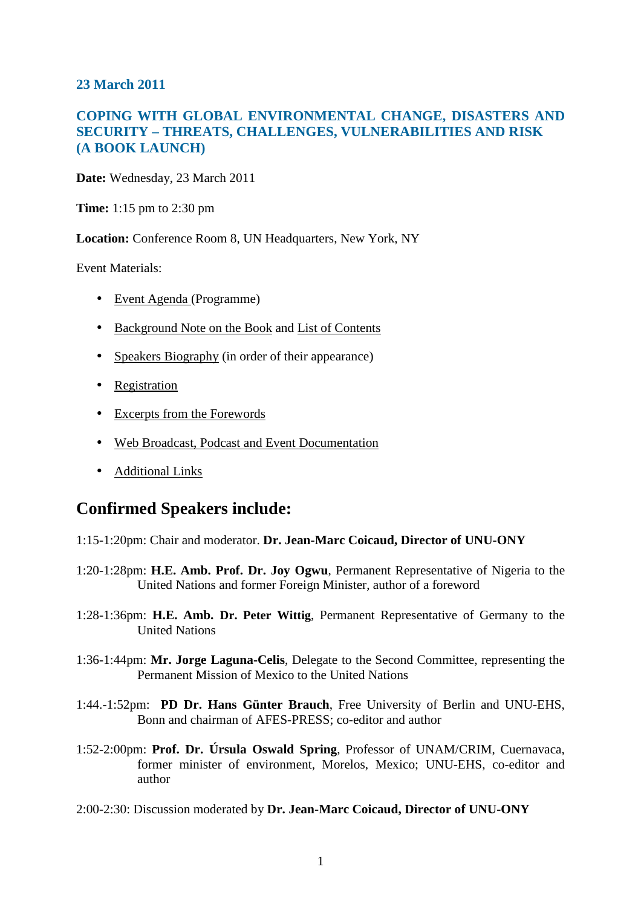## **23 March 2011**

## **COPING WITH GLOBAL ENVIRONMENTAL CHANGE, DISASTERS AND SECURITY – THREATS, CHALLENGES, VULNERABILITIES AND RISK (A BOOK LAUNCH)**

**Date:** Wednesday, 23 March 2011

**Time:** 1:15 pm to 2:30 pm

**Location:** Conference Room 8, UN Headquarters, New York, NY

Event Materials:

- Event Agenda (Programme)
- Background Note on the Book and List of Contents
- Speakers Biography (in order of their appearance)
- Registration
- Excerpts from the Forewords
- Web Broadcast, Podcast and Event Documentation
- Additional Links

# **Confirmed Speakers include:**

1:15-1:20pm: Chair and moderator. **Dr. Jean-Marc Coicaud, Director of UNU-ONY**

- 1:20-1:28pm: **H.E. Amb. Prof. Dr. Joy Ogwu**, Permanent Representative of Nigeria to the United Nations and former Foreign Minister, author of a foreword
- 1:28-1:36pm: **H.E. Amb. Dr. Peter Wittig**, Permanent Representative of Germany to the United Nations
- 1:36-1:44pm: **Mr. Jorge Laguna-Celis**, Delegate to the Second Committee, representing the Permanent Mission of Mexico to the United Nations
- 1:44.-1:52pm: **PD Dr. Hans Günter Brauch**, Free University of Berlin and UNU-EHS, Bonn and chairman of AFES-PRESS; co-editor and author
- 1:52-2:00pm: **Prof. Dr. Úrsula Oswald Spring**, Professor of UNAM/CRIM, Cuernavaca, former minister of environment, Morelos, Mexico; UNU-EHS, co-editor and author
- 2:00-2:30: Discussion moderated by **Dr. Jean-Marc Coicaud, Director of UNU-ONY**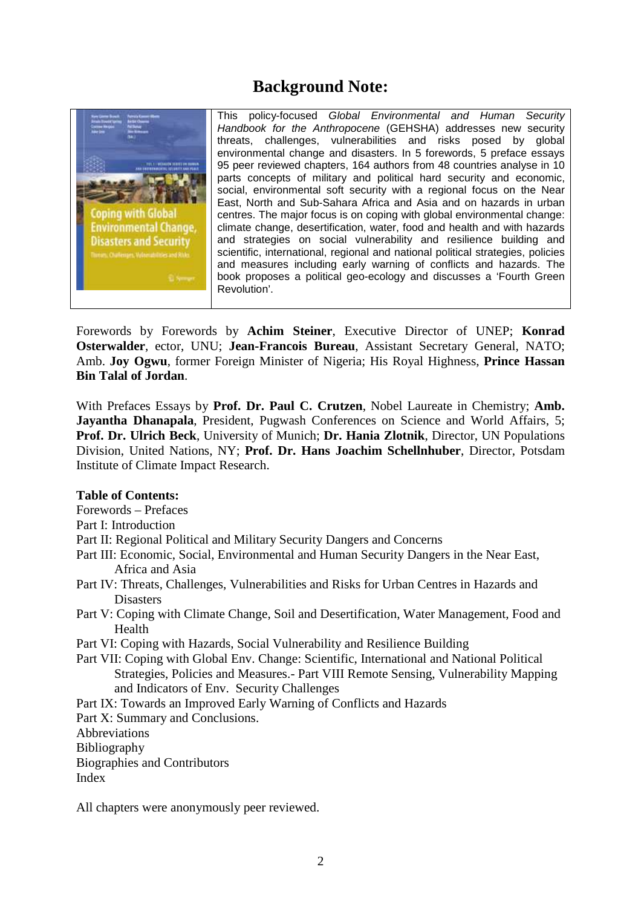# **Background Note:**



This policy-focused Global Environmental and Human Security Handbook for the Anthropocene (GEHSHA) addresses new security threats, challenges, vulnerabilities and risks posed by global environmental change and disasters. In 5 forewords, 5 preface essays 95 peer reviewed chapters, 164 authors from 48 countries analyse in 10 parts concepts of military and political hard security and economic, social, environmental soft security with a regional focus on the Near East, North and Sub-Sahara Africa and Asia and on hazards in urban centres. The major focus is on coping with global environmental change: climate change, desertification, water, food and health and with hazards and strategies on social vulnerability and resilience building and scientific, international, regional and national political strategies, policies and measures including early warning of conflicts and hazards. The book proposes a political geo-ecology and discusses a 'Fourth Green Revolution'.

Forewords by Forewords by **Achim Steiner**, Executive Director of UNEP; **Konrad Osterwalder**, ector, UNU; **Jean-Francois Bureau**, Assistant Secretary General, NATO; Amb. **Joy Ogwu**, former Foreign Minister of Nigeria; His Royal Highness, **Prince Hassan Bin Talal of Jordan**.

With Prefaces Essays by **Prof. Dr. Paul C. Crutzen**, Nobel Laureate in Chemistry; **Amb. Jayantha Dhanapala**, President, Pugwash Conferences on Science and World Affairs, 5; **Prof. Dr. Ulrich Beck**, University of Munich; **Dr. Hania Zlotnik**, Director, UN Populations Division, United Nations, NY; **Prof. Dr. Hans Joachim Schellnhuber**, Director, Potsdam Institute of Climate Impact Research.

#### **Table of Contents:**

Forewords – Prefaces

Part I: Introduction

Part II: Regional Political and Military Security Dangers and Concerns

- Part III: Economic, Social, Environmental and Human Security Dangers in the Near East, Africa and Asia
- Part IV: Threats, Challenges, Vulnerabilities and Risks for Urban Centres in Hazards and **Disasters**
- Part V: Coping with Climate Change, Soil and Desertification, Water Management, Food and Health
- Part VI: Coping with Hazards, Social Vulnerability and Resilience Building
- Part VII: Coping with Global Env. Change: Scientific, International and National Political Strategies, Policies and Measures.- Part VIII Remote Sensing, Vulnerability Mapping and Indicators of Env. Security Challenges
- Part IX: Towards an Improved Early Warning of Conflicts and Hazards

Part X: Summary and Conclusions.

Abbreviations

Bibliography

Biographies and Contributors

Index

All chapters were anonymously peer reviewed.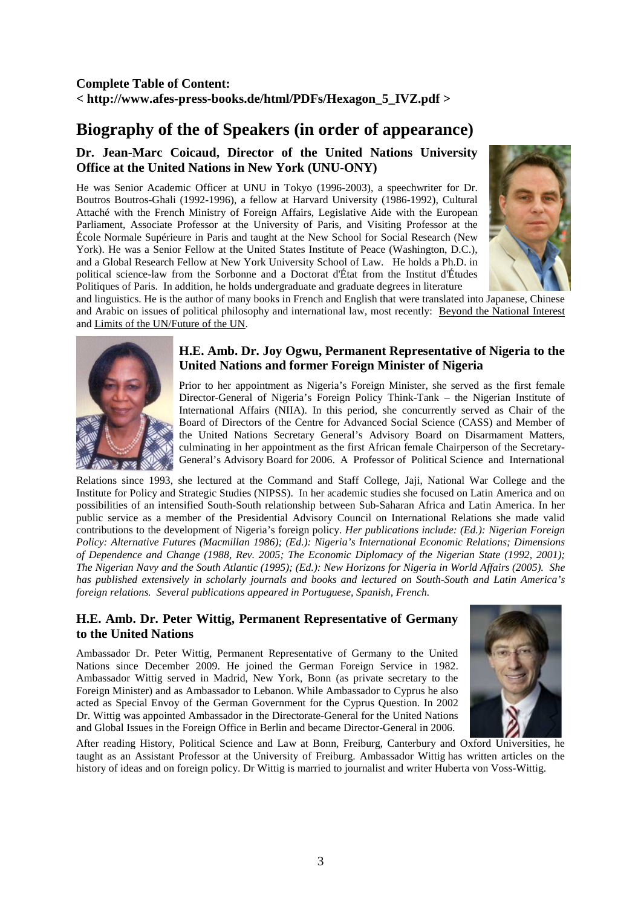# **Biography of the of Speakers (in order of appearance)**

## **Dr. Jean-Marc Coicaud, Director of the United Nations University Office at the United Nations in New York (UNU-ONY)**

He was Senior Academic Officer at UNU in Tokyo (1996-2003), a speechwriter for Dr. Boutros Boutros-Ghali (1992-1996), a fellow at Harvard University (1986-1992), Cultural Attaché with the French Ministry of Foreign Affairs, Legislative Aide with the European Parliament, Associate Professor at the University of Paris, and Visiting Professor at the École Normale Supérieure in Paris and taught at the New School for Social Research (New York). He was a Senior Fellow at the United States Institute of Peace (Washington, D.C.), and a Global Research Fellow at New York University School of Law. He holds a Ph.D. in political science-law from the Sorbonne and a Doctorat d'État from the Institut d'Études Politiques of Paris. In addition, he holds undergraduate and graduate degrees in literature



and linguistics. He is the author of many books in French and English that were translated into Japanese, Chinese and Arabic on issues of political philosophy and international law, most recently: Beyond the National Interest and Limits of the UN/Future of the UN.



### **H.E. Amb. Dr. Joy Ogwu, Permanent Representative of Nigeria to the United Nations and former Foreign Minister of Nigeria**

Prior to her appointment as Nigeria's Foreign Minister, she served as the first female Director-General of Nigeria's Foreign Policy Think-Tank – the Nigerian Institute of International Affairs (NIIA). In this period, she concurrently served as Chair of the Board of Directors of the Centre for Advanced Social Science (CASS) and Member of the United Nations Secretary General's Advisory Board on Disarmament Matters, culminating in her appointment as the first African female Chairperson of the Secretary-General's Advisory Board for 2006. A Professor of Political Science and International

Relations since 1993, she lectured at the Command and Staff College, Jaji, National War College and the Institute for Policy and Strategic Studies (NIPSS). In her academic studies she focused on Latin America and on possibilities of an intensified South-South relationship between Sub-Saharan Africa and Latin America. In her public service as a member of the Presidential Advisory Council on International Relations she made valid contributions to the development of Nigeria's foreign policy. *Her publications include: (Ed.): Nigerian Foreign Policy: Alternative Futures (Macmillan 1986); (Ed.): Nigeria's International Economic Relations; Dimensions of Dependence and Change (1988, Rev. 2005; The Economic Diplomacy of the Nigerian State (1992, 2001); The Nigerian Navy and the South Atlantic (1995); (Ed.): New Horizons for Nigeria in World Affairs (2005). She has published extensively in scholarly journals and books and lectured on South-South and Latin America's foreign relations. Several publications appeared in Portuguese, Spanish, French.*

#### **H.E. Amb. Dr. Peter Wittig, Permanent Representative of Germany to the United Nations**

Ambassador Dr. Peter Wittig, Permanent Representative of Germany to the United Nations since December 2009. He joined the German Foreign Service in 1982. Ambassador Wittig served in Madrid, New York, Bonn (as private secretary to the Foreign Minister) and as Ambassador to Lebanon. While Ambassador to Cyprus he also acted as Special Envoy of the German Government for the Cyprus Question. In 2002 Dr. Wittig was appointed Ambassador in the Directorate-General for the United Nations and Global Issues in the Foreign Office in Berlin and became Director-General in 2006.



After reading History, Political Science and Law at Bonn, Freiburg, Canterbury and Oxford Universities, he taught as an Assistant Professor at the University of Freiburg. Ambassador Wittig has written articles on the history of ideas and on foreign policy. Dr Wittig is married to journalist and writer Huberta von Voss-Wittig.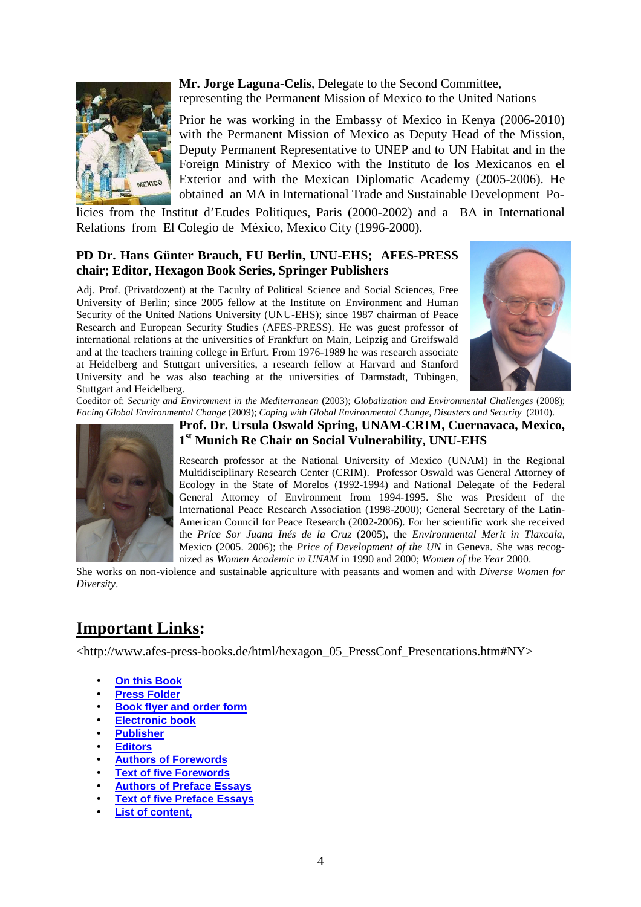

**Mr. Jorge Laguna-Celis**, Delegate to the Second Committee, representing the Permanent Mission of Mexico to the United Nations

Prior he was working in the Embassy of Mexico in Kenya (2006-2010) with the Permanent Mission of Mexico as Deputy Head of the Mission, Deputy Permanent Representative to UNEP and to UN Habitat and in the Foreign Ministry of Mexico with the Instituto de los Mexicanos en el Exterior and with the Mexican Diplomatic Academy (2005-2006). He obtained an MA in International Trade and Sustainable Development Po-

licies from the Institut d'Etudes Politiques, Paris (2000-2002) and a BA in International Relations from El Colegio de México, Mexico City (1996-2000).

### **PD Dr. Hans Günter Brauch, FU Berlin, UNU-EHS; AFES-PRESS chair; Editor, Hexagon Book Series, Springer Publishers**

Adj. Prof. (Privatdozent) at the Faculty of Political Science and Social Sciences, Free University of Berlin; since 2005 fellow at the Institute on Environment and Human Security of the United Nations University (UNU-EHS); since 1987 chairman of Peace Research and European Security Studies (AFES-PRESS). He was guest professor of international relations at the universities of Frankfurt on Main, Leipzig and Greifswald and at the teachers training college in Erfurt. From 1976-1989 he was research associate at Heidelberg and Stuttgart universities, a research fellow at Harvard and Stanford University and he was also teaching at the universities of Darmstadt, Tübingen, Stuttgart and Heidelberg.



Coeditor of: *Security and Environment in the Mediterranean* (2003); *Globalization and Environmental Challenges* (2008); *Facing Global Environmental Change* (2009); *Coping with Global Environmental Change, Disasters and Security* (2010).



**Prof. Dr. Ursula Oswald Spring, UNAM-CRIM, Cuernavaca, Mexico, 1 st Munich Re Chair on Social Vulnerability, UNU-EHS** 

Research professor at the National University of Mexico (UNAM) in the Regional Multidisciplinary Research Center (CRIM). Professor Oswald was General Attorney of Ecology in the State of Morelos (1992-1994) and National Delegate of the Federal General Attorney of Environment from 1994-1995. She was President of the International Peace Research Association (1998-2000); General Secretary of the Latin-American Council for Peace Research (2002-2006). For her scientific work she received the *Price Sor Juana Inés de la Cruz* (2005), the *Environmental Merit in Tlaxcala*, Mexico (2005. 2006); the *Price of Development of the UN* in Geneva. She was recognized as *Women Academic in UNAM* in 1990 and 2000; *Women of the Year* 2000.

She works on non-violence and sustainable agriculture with peasants and women and with *Diverse Women for Diversity*.

# **Important Links:**

<http://www.afes-press-books.de/html/hexagon\_05\_PressConf\_Presentations.htm#NY>

- **On this Book**
- **Press Folder**
- **Book flyer and order form**
- **Electronic book**
- **Publisher**
- **Editors**
- **Authors of Forewords**
- **Text of five Forewords**
- **Authors of Preface Essays**
- **Text of five Preface Essays**
- **List of content,**